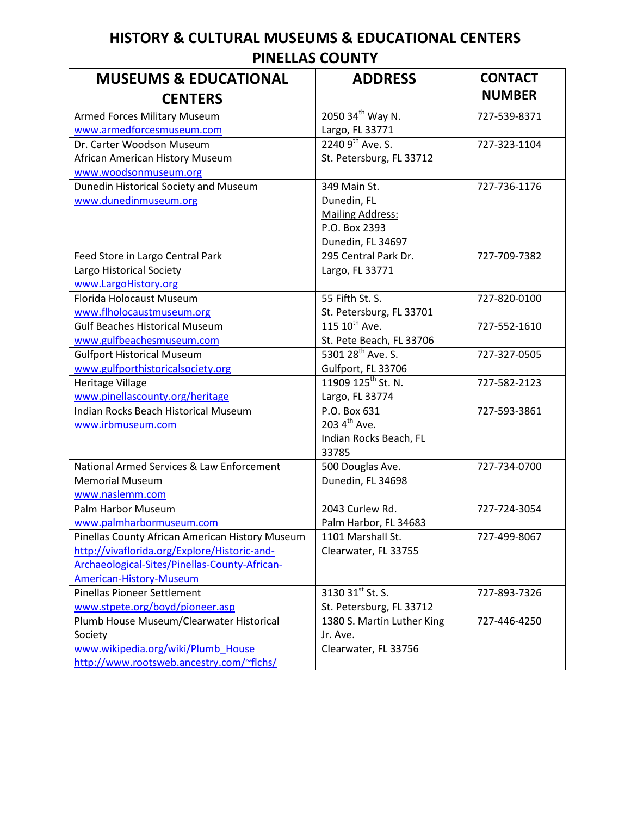## **HISTORY & CULTURAL MUSEUMS & EDUCATIONAL CENTERS PINELLAS COUNTY**

| <b>MUSEUMS &amp; EDUCATIONAL</b>                | <b>ADDRESS</b>                 | <b>CONTACT</b> |
|-------------------------------------------------|--------------------------------|----------------|
| <b>CENTERS</b>                                  |                                | <b>NUMBER</b>  |
| Armed Forces Military Museum                    | 2050 34th Way N.               | 727-539-8371   |
| www.armedforcesmuseum.com                       | Largo, FL 33771                |                |
| Dr. Carter Woodson Museum                       | $22409^{th}$ Ave. S.           | 727-323-1104   |
| African American History Museum                 | St. Petersburg, FL 33712       |                |
| www.woodsonmuseum.org                           |                                |                |
| Dunedin Historical Society and Museum           | 349 Main St.                   | 727-736-1176   |
| www.dunedinmuseum.org                           | Dunedin, FL                    |                |
|                                                 | <b>Mailing Address:</b>        |                |
|                                                 | P.O. Box 2393                  |                |
|                                                 | Dunedin, FL 34697              |                |
| Feed Store in Largo Central Park                | 295 Central Park Dr.           | 727-709-7382   |
| Largo Historical Society                        | Largo, FL 33771                |                |
| www.LargoHistory.org                            |                                |                |
| Florida Holocaust Museum                        | 55 Fifth St. S.                | 727-820-0100   |
| www.flholocaustmuseum.org                       | St. Petersburg, FL 33701       |                |
| <b>Gulf Beaches Historical Museum</b>           | 115 10 <sup>th</sup> Ave.      | 727-552-1610   |
| www.gulfbeachesmuseum.com                       | St. Pete Beach, FL 33706       |                |
| <b>Gulfport Historical Museum</b>               | 5301 28 <sup>th</sup> Ave. S.  | 727-327-0505   |
| www.gulfporthistoricalsociety.org               | Gulfport, FL 33706             |                |
| Heritage Village                                | 11909 125 <sup>th</sup> St. N. | 727-582-2123   |
| www.pinellascounty.org/heritage                 | Largo, FL 33774                |                |
| Indian Rocks Beach Historical Museum            | P.O. Box 631                   | 727-593-3861   |
| www.irbmuseum.com                               | 203 4 <sup>th</sup> Ave.       |                |
|                                                 | Indian Rocks Beach, FL         |                |
|                                                 | 33785                          |                |
| National Armed Services & Law Enforcement       | 500 Douglas Ave.               | 727-734-0700   |
| <b>Memorial Museum</b>                          | Dunedin, FL 34698              |                |
| www.naslemm.com                                 |                                |                |
| Palm Harbor Museum                              | 2043 Curlew Rd.                | 727-724-3054   |
| www.palmharbormuseum.com                        | Palm Harbor, FL 34683          |                |
| Pinellas County African American History Museum | 1101 Marshall St.              | 727-499-8067   |
| http://vivaflorida.org/Explore/Historic-and-    | Clearwater, FL 33755           |                |
| Archaeological-Sites/Pinellas-County-African-   |                                |                |
| <b>American-History-Museum</b>                  |                                |                |
| <b>Pinellas Pioneer Settlement</b>              | 3130 31 <sup>st</sup> St. S.   | 727-893-7326   |
| www.stpete.org/boyd/pioneer.asp                 | St. Petersburg, FL 33712       |                |
| Plumb House Museum/Clearwater Historical        | 1380 S. Martin Luther King     | 727-446-4250   |
| Society                                         | Jr. Ave.                       |                |
| www.wikipedia.org/wiki/Plumb House              | Clearwater, FL 33756           |                |
| http://www.rootsweb.ancestry.com/~flchs/        |                                |                |